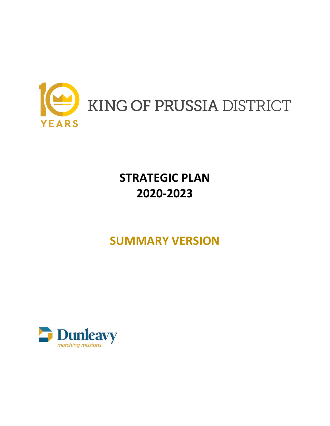

# **STRATEGIC PLAN** 2020-2023

## **SUMMARY VERSION**

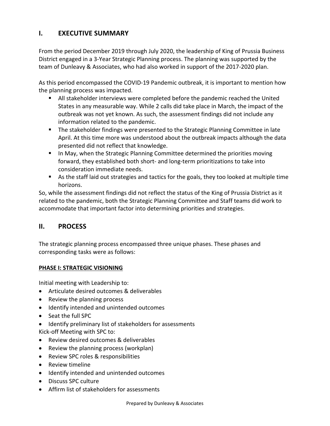## **I. EXECUTIVE SUMMARY**

From the period December 2019 through July 2020, the leadership of King of Prussia Business District engaged in a 3-Year Strategic Planning process. The planning was supported by the team of Dunleavy & Associates, who had also worked in support of the 2017-2020 plan.

As this period encompassed the COVID-19 Pandemic outbreak, it is important to mention how the planning process was impacted.

- § All stakeholder interviews were completed before the pandemic reached the United States in any measurable way. While 2 calls did take place in March, the impact of the outbreak was not yet known. As such, the assessment findings did not include any information related to the pandemic.
- The stakeholder findings were presented to the Strategic Planning Committee in late April. At this time more was understood about the outbreak impacts although the data presented did not reflect that knowledge.
- In May, when the Strategic Planning Committee determined the priorities moving forward, they established both short- and long-term prioritizations to take into consideration immediate needs.
- As the staff laid out strategies and tactics for the goals, they too looked at multiple time horizons.

So, while the assessment findings did not reflect the status of the King of Prussia District as it related to the pandemic, both the Strategic Planning Committee and Staff teams did work to accommodate that important factor into determining priorities and strategies.

## **II. PROCESS**

The strategic planning process encompassed three unique phases. These phases and corresponding tasks were as follows:

#### **PHASE I: STRATEGIC VISIONING**

Initial meeting with Leadership to:

- Articulate desired outcomes & deliverables
- Review the planning process
- Identify intended and unintended outcomes
- Seat the full SPC
- Identify preliminary list of stakeholders for assessments Kick-off Meeting with SPC to:
- Review desired outcomes & deliverables
- Review the planning process (workplan)
- Review SPC roles & responsibilities
- Review timeline
- Identify intended and unintended outcomes
- Discuss SPC culture
- Affirm list of stakeholders for assessments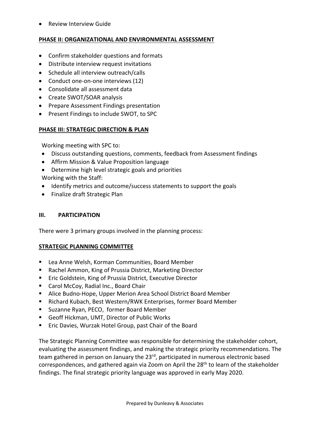• Review Interview Guide

#### **PHASE II: ORGANIZATIONAL AND ENVIRONMENTAL ASSESSMENT**

- Confirm stakeholder questions and formats
- Distribute interview request invitations
- Schedule all interview outreach/calls
- Conduct one-on-one interviews (12)
- Consolidate all assessment data
- Create SWOT/SOAR analysis
- Prepare Assessment Findings presentation
- Present Findings to include SWOT, to SPC

#### **PHASE III: STRATEGIC DIRECTION & PLAN**

Working meeting with SPC to:

- Discuss outstanding questions, comments, feedback from Assessment findings
- Affirm Mission & Value Proposition language
- Determine high level strategic goals and priorities Working with the Staff:
- Identify metrics and outcome/success statements to support the goals
- Finalize draft Strategic Plan

#### **III. PARTICIPATION**

There were 3 primary groups involved in the planning process:

#### **STRATEGIC PLANNING COMMITTEE**

- Lea Anne Welsh, Korman Communities, Board Member
- Rachel Ammon, King of Prussia District, Marketing Director
- Eric Goldstein, King of Prussia District, Executive Director
- Carol McCoy, Radial Inc., Board Chair
- Alice Budno-Hope, Upper Merion Area School District Board Member
- Richard Kubach, Best Western/RWK Enterprises, former Board Member
- Suzanne Ryan, PECO, former Board Member
- Geoff Hickman, UMT, Director of Public Works
- Eric Davies, Wurzak Hotel Group, past Chair of the Board

The Strategic Planning Committee was responsible for determining the stakeholder cohort, evaluating the assessment findings, and making the strategic priority recommendations. The team gathered in person on January the 23<sup>rd</sup>, participated in numerous electronic based correspondences, and gathered again via Zoom on April the 28<sup>th</sup> to learn of the stakeholder findings. The final strategic priority language was approved in early May 2020.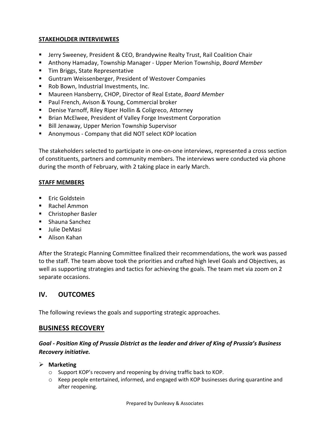#### **STAKEHOLDER INTERVIEWEES**

- § Jerry Sweeney, President & CEO, Brandywine Realty Trust, Rail Coalition Chair
- § Anthony Hamaday, Township Manager Upper Merion Township, *Board Member*
- Tim Briggs, State Representative
- Guntram Weissenberger, President of Westover Companies
- Rob Bown, Industrial Investments, Inc.
- Maureen Hansberry, CHOP, Director of Real Estate, *Board Member*
- Paul French, Avison & Young, Commercial broker
- Denise Yarnoff, Riley Riper Hollin & Coligreco, Attorney
- Brian McElwee, President of Valley Forge Investment Corporation
- Bill Jenaway, Upper Merion Township Supervisor
- § Anonymous Company that did NOT select KOP location

The stakeholders selected to participate in one-on-one interviews, represented a cross section of constituents, partners and community members. The interviews were conducted via phone during the month of February, with 2 taking place in early March.

#### **STAFF MEMBERS**

- Eric Goldstein
- Rachel Ammon
- Christopher Basler
- Shauna Sanchez
- Julie DeMasi
- Alison Kahan

After the Strategic Planning Committee finalized their recommendations, the work was passed to the staff. The team above took the priorities and crafted high level Goals and Objectives, as well as supporting strategies and tactics for achieving the goals. The team met via zoom on 2 separate occasions.

## **IV. OUTCOMES**

The following reviews the goals and supporting strategic approaches.

#### **BUSINESS RECOVERY**

## *Goal - Position King of Prussia District as the leader and driver of King of Prussia's Business Recovery initiative.*

#### Ø **Marketing**

- o Support KOP's recovery and reopening by driving traffic back to KOP.
- o Keep people entertained, informed, and engaged with KOP businesses during quarantine and after reopening.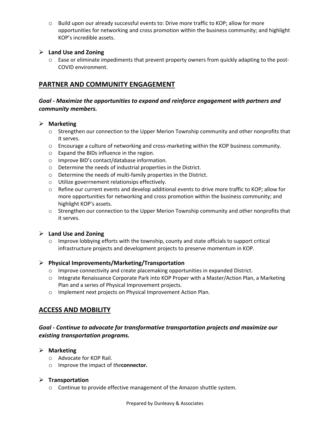o Build upon our already successful events to: Drive more traffic to KOP; allow for more opportunities for networking and cross promotion within the business community; and highlight KOP's incredible assets.

#### Ø **Land Use and Zoning**

 $\circ$  Ease or eliminate impediments that prevent property owners from quickly adapting to the post-COVID environment.

## **PARTNER AND COMMUNITY ENGAGEMENT**

#### *Goal - Maximize the opportunities to expand and reinforce engagement with partners and community members.*

#### Ø **Marketing**

- o Strengthen our connection to the Upper Merion Township community and other nonprofits that it serves.
- o Encourage a culture of networking and cross-marketing within the KOP business community.
- o Expand the BIDs influence in the region.
- o Improve BID's contact/database information.
- o Determine the needs of industrial properties in the District.
- o Determine the needs of multi-family properties in the District.
- o Utilize goverrnement relationsips effectively.
- o Refine our current events and develop additional events to drive more traffic to KOP; allow for more opportunities for networking and cross promotion within the business community; and highlight KOP's assets.
- $\circ$  Strengthen our connection to the Upper Merion Township community and other nonprofits that it serves.

#### Ø **Land Use and Zoning**

 $\circ$  Improve lobbying efforts with the township, county and state officials to support critical infrastructure projects and development projects to preserve momentum in KOP.

#### Ø **Physical Improvements/Marketing/Transportation**

- o Improve connectivity and create placemaking opportunities in expanded District.
- o Integrate Renaissance Corporate Park into KOP Proper with a Master/Action Plan, a Marketing Plan and a series of Physical Improvement projects.
- o Implement next projects on Physical Improvement Action Plan.

## **ACCESS AND MOBILITY**

#### *Goal - Continue to advocate for transformative transportation projects and maximize our existing transportation programs.*

#### Ø **Marketing**

- o Advocate for KOP Rail.
- o Improve the impact of *the***connector.**

#### Ø **Transportation**

o Continue to provide effective management of the Amazon shuttle system.